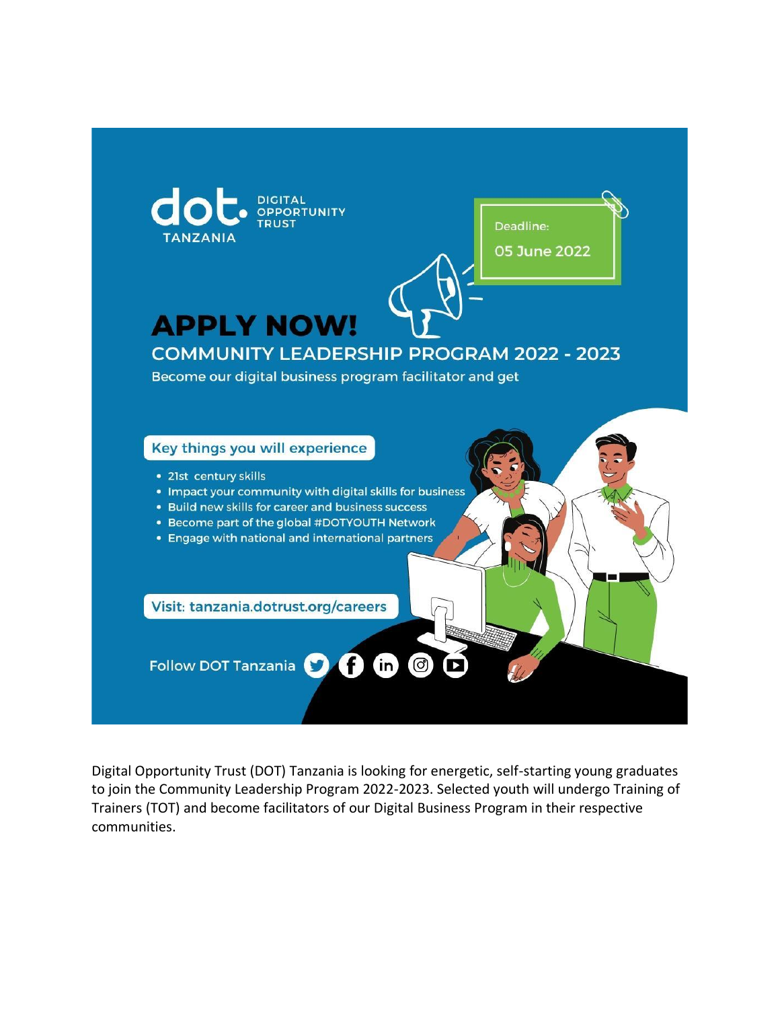

Digital Opportunity Trust (DOT) Tanzania is looking for energetic, self-starting young graduates to join the Community Leadership Program 2022-2023. Selected youth will undergo Training of Trainers (TOT) and become facilitators of our Digital Business Program in their respective communities.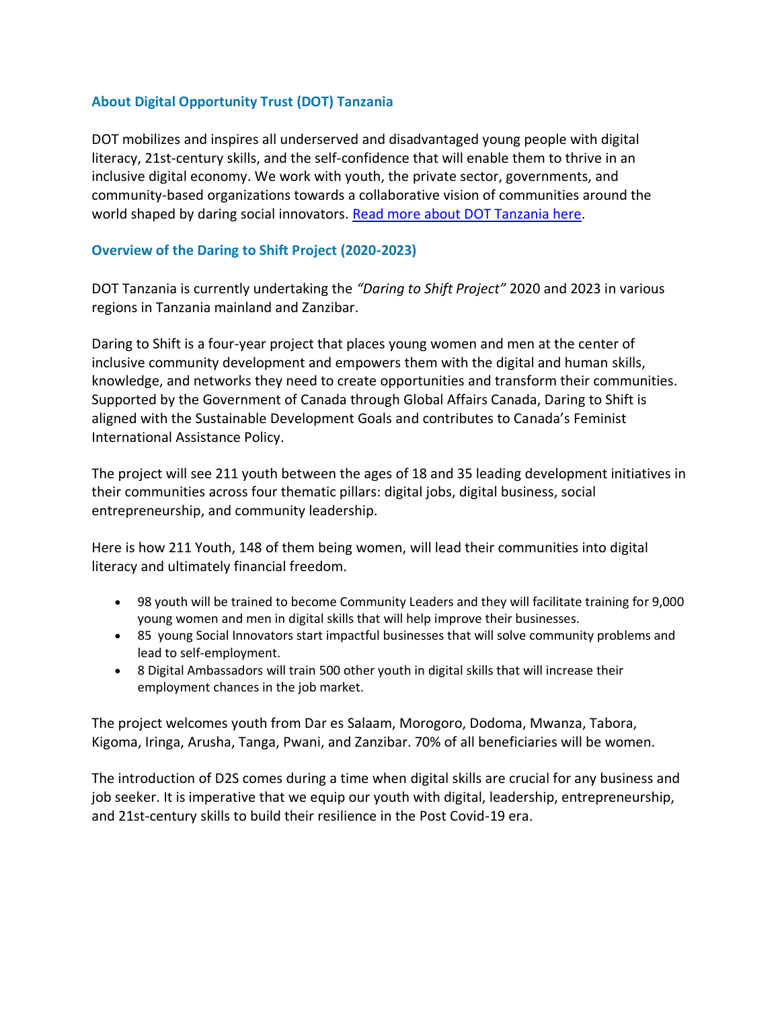## **About Digital Opportunity Trust (DOT) Tanzania**

DOT mobilizes and inspires all underserved and disadvantaged young people with digital literacy, 21st-century skills, and the self-confidence that will enable them to thrive in an inclusive digital economy. We work with youth, the private sector, governments, and community-based organizations towards a collaborative vision of communities around the world shaped by daring social innovators. [Read more about DOT Tanzania here.](https://tanzania.dotrust.org/)

## **Overview of the Daring to Shift Project (2020-2023)**

DOT Tanzania is currently undertaking the *"Daring to Shift Project"* 2020 and 2023 in various regions in Tanzania mainland and Zanzibar.

Daring to Shift is a four-year project that places young women and men at the center of inclusive community development and empowers them with the digital and human skills, knowledge, and networks they need to create opportunities and transform their communities. Supported by the Government of Canada through Global Affairs Canada, Daring to Shift is aligned with the Sustainable Development Goals and contributes to Canada's Feminist International Assistance Policy.

The project will see 211 youth between the ages of 18 and 35 leading development initiatives in their communities across four thematic pillars: digital jobs, digital business, social entrepreneurship, and community leadership.

Here is how 211 Youth, 148 of them being women, will lead their communities into digital literacy and ultimately financial freedom.

- 98 youth will be trained to become Community Leaders and they will facilitate training for 9,000 young women and men in digital skills that will help improve their businesses.
- 85 young Social Innovators start impactful businesses that will solve community problems and lead to self-employment.
- 8 Digital Ambassadors will train 500 other youth in digital skills that will increase their employment chances in the job market.

The project welcomes youth from Dar es Salaam, Morogoro, Dodoma, Mwanza, Tabora, Kigoma, Iringa, Arusha, Tanga, Pwani, and Zanzibar. 70% of all beneficiaries will be women.

The introduction of D2S comes during a time when digital skills are crucial for any business and job seeker. It is imperative that we equip our youth with digital, leadership, entrepreneurship, and 21st-century skills to build their resilience in the Post Covid-19 era.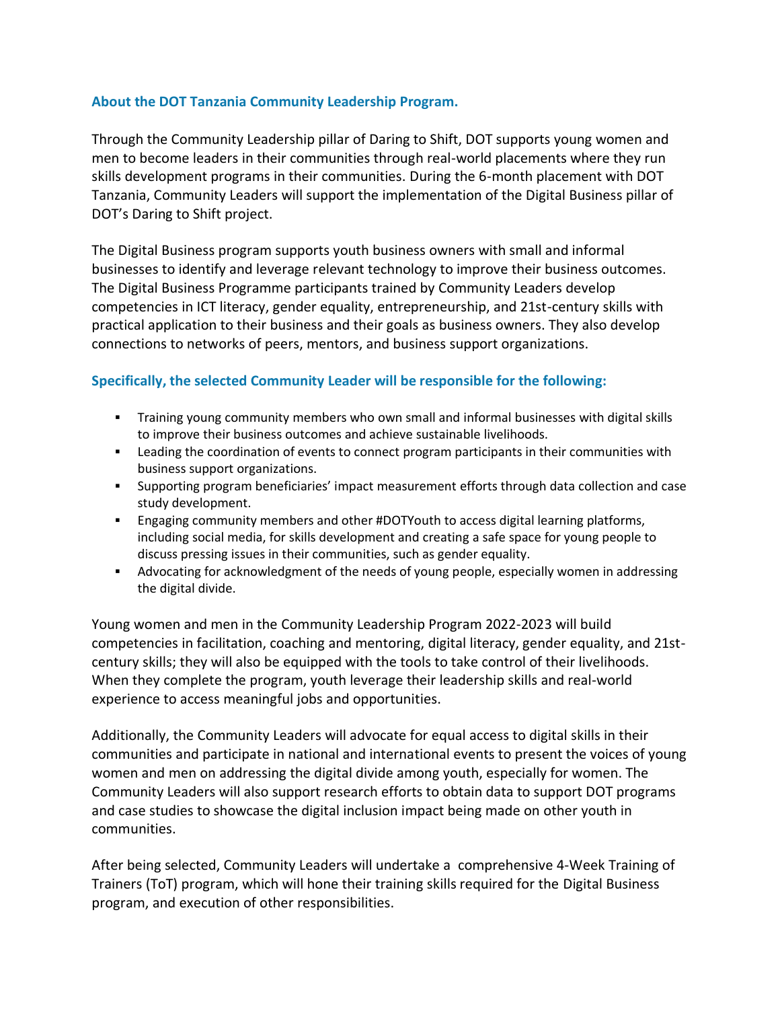## **About the DOT Tanzania Community Leadership Program.**

Through the Community Leadership pillar of Daring to Shift, DOT supports young women and men to become leaders in their communities through real-world placements where they run skills development programs in their communities. During the 6-month placement with DOT Tanzania, Community Leaders will support the implementation of the Digital Business pillar of DOT's Daring to Shift project.

The Digital Business program supports youth business owners with small and informal businesses to identify and leverage relevant technology to improve their business outcomes. The Digital Business Programme participants trained by Community Leaders develop competencies in ICT literacy, gender equality, entrepreneurship, and 21st-century skills with practical application to their business and their goals as business owners. They also develop connections to networks of peers, mentors, and business support organizations.

## **Specifically, the selected Community Leader will be responsible for the following:**

- Training young community members who own small and informal businesses with digital skills to improve their business outcomes and achieve sustainable livelihoods.
- **•** Leading the coordination of events to connect program participants in their communities with business support organizations.
- Supporting program beneficiaries' impact measurement efforts through data collection and case study development.
- **Engaging community members and other #DOTYouth to access digital learning platforms,** including social media, for skills development and creating a safe space for young people to discuss pressing issues in their communities, such as gender equality.
- **■** Advocating for acknowledgment of the needs of young people, especially women in addressing the digital divide.

Young women and men in the Community Leadership Program 2022-2023 will build competencies in facilitation, coaching and mentoring, digital literacy, gender equality, and 21stcentury skills; they will also be equipped with the tools to take control of their livelihoods. When they complete the program, youth leverage their leadership skills and real-world experience to access meaningful jobs and opportunities.

Additionally, the Community Leaders will advocate for equal access to digital skills in their communities and participate in national and international events to present the voices of young women and men on addressing the digital divide among youth, especially for women. The Community Leaders will also support research efforts to obtain data to support DOT programs and case studies to showcase the digital inclusion impact being made on other youth in communities.

After being selected, Community Leaders will undertake a comprehensive 4-Week Training of Trainers (ToT) program, which will hone their training skills required for the Digital Business program, and execution of other responsibilities.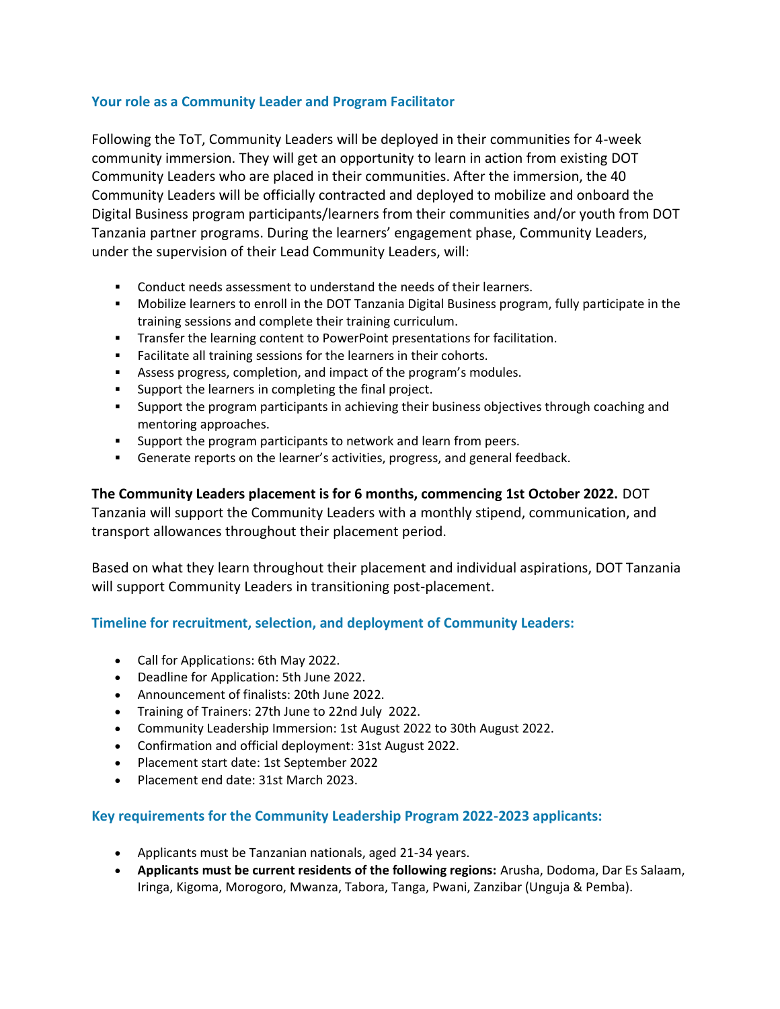### **Your role as a Community Leader and Program Facilitator**

Following the ToT, Community Leaders will be deployed in their communities for 4-week community immersion. They will get an opportunity to learn in action from existing DOT Community Leaders who are placed in their communities. After the immersion, the 40 Community Leaders will be officially contracted and deployed to mobilize and onboard the Digital Business program participants/learners from their communities and/or youth from DOT Tanzania partner programs. During the learners' engagement phase, Community Leaders, under the supervision of their Lead Community Leaders, will:

- Conduct needs assessment to understand the needs of their learners.
- Mobilize learners to enroll in the DOT Tanzania Digital Business program, fully participate in the training sessions and complete their training curriculum.
- **•** Transfer the learning content to PowerPoint presentations for facilitation.
- Facilitate all training sessions for the learners in their cohorts.
- Assess progress, completion, and impact of the program's modules.
- Support the learners in completing the final project.
- Support the program participants in achieving their business objectives through coaching and mentoring approaches.
- **EXECT** Support the program participants to network and learn from peers.
- Generate reports on the learner's activities, progress, and general feedback.

**The Community Leaders placement is for 6 months, commencing 1st October 2022.** DOT Tanzania will support the Community Leaders with a monthly stipend, communication, and transport allowances throughout their placement period.

Based on what they learn throughout their placement and individual aspirations, DOT Tanzania will support Community Leaders in transitioning post-placement.

# **Timeline for recruitment, selection, and deployment of Community Leaders:**

- Call for Applications: 6th May 2022.
- Deadline for Application: 5th June 2022.
- Announcement of finalists: 20th June 2022.
- Training of Trainers: 27th June to 22nd July 2022.
- Community Leadership Immersion: 1st August 2022 to 30th August 2022.
- Confirmation and official deployment: 31st August 2022.
- Placement start date: 1st September 2022
- Placement end date: 31st March 2023.

#### **Key requirements for the Community Leadership Program 2022-2023 applicants:**

- Applicants must be Tanzanian nationals, aged 21-34 years.
- **Applicants must be current residents of the following regions:** Arusha, Dodoma, Dar Es Salaam, Iringa, Kigoma, Morogoro, Mwanza, Tabora, Tanga, Pwani, Zanzibar (Unguja & Pemba).